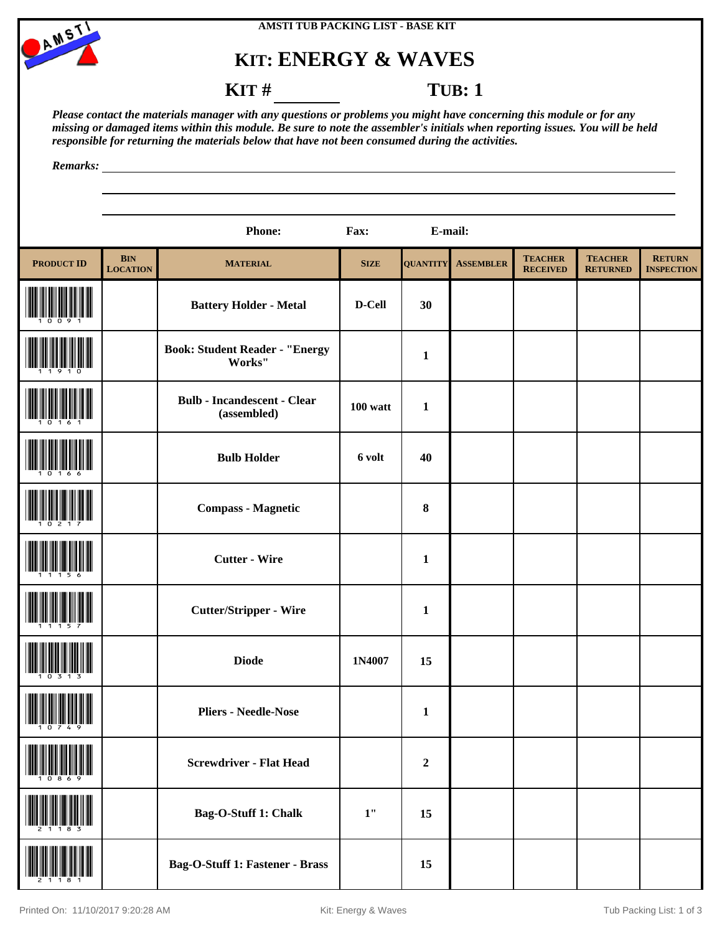



## **KIT: ENERGY & WAVES**

**KIT** # **TUB**: 1

*Please contact the materials manager with any questions or problems you might have concerning this module or for any missing or damaged items within this module. Be sure to note the assembler's initials when reporting issues. You will be held responsible for returning the materials below that have not been consumed during the activities.*

*Remarks:*

|                   |                               | <b>Phone:</b>                                     | Fax:        | E-mail:         |                  |                                   |                                   |                                    |
|-------------------|-------------------------------|---------------------------------------------------|-------------|-----------------|------------------|-----------------------------------|-----------------------------------|------------------------------------|
| <b>PRODUCT ID</b> | <b>BIN</b><br><b>LOCATION</b> | <b>MATERIAL</b>                                   | <b>SIZE</b> | <b>QUANTITY</b> | <b>ASSEMBLER</b> | <b>TEACHER</b><br><b>RECEIVED</b> | <b>TEACHER</b><br><b>RETURNED</b> | <b>RETURN</b><br><b>INSPECTION</b> |
|                   |                               | <b>Battery Holder - Metal</b>                     | D-Cell      | 30              |                  |                                   |                                   |                                    |
|                   |                               | <b>Book: Student Reader - "Energy</b><br>Works"   |             | $\mathbf{1}$    |                  |                                   |                                   |                                    |
|                   |                               | <b>Bulb - Incandescent - Clear</b><br>(assembled) | $100$ watt  | $\mathbf{1}$    |                  |                                   |                                   |                                    |
|                   |                               | <b>Bulb Holder</b>                                | 6 volt      | 40              |                  |                                   |                                   |                                    |
|                   |                               | <b>Compass - Magnetic</b>                         |             | $\bf{8}$        |                  |                                   |                                   |                                    |
|                   |                               | <b>Cutter - Wire</b>                              |             | $\mathbf{1}$    |                  |                                   |                                   |                                    |
|                   |                               | <b>Cutter/Stripper - Wire</b>                     |             | $\mathbf{1}$    |                  |                                   |                                   |                                    |
|                   |                               | <b>Diode</b>                                      | 1N4007      | 15              |                  |                                   |                                   |                                    |
|                   |                               | <b>Pliers - Needle-Nose</b>                       |             | $\mathbf{1}$    |                  |                                   |                                   |                                    |
|                   |                               | <b>Screwdriver - Flat Head</b>                    |             | $\mathbf 2$     |                  |                                   |                                   |                                    |
|                   |                               | Bag-O-Stuff 1: Chalk                              | $1"$        | 15              |                  |                                   |                                   |                                    |
|                   |                               | <b>Bag-O-Stuff 1: Fastener - Brass</b>            |             | 15              |                  |                                   |                                   |                                    |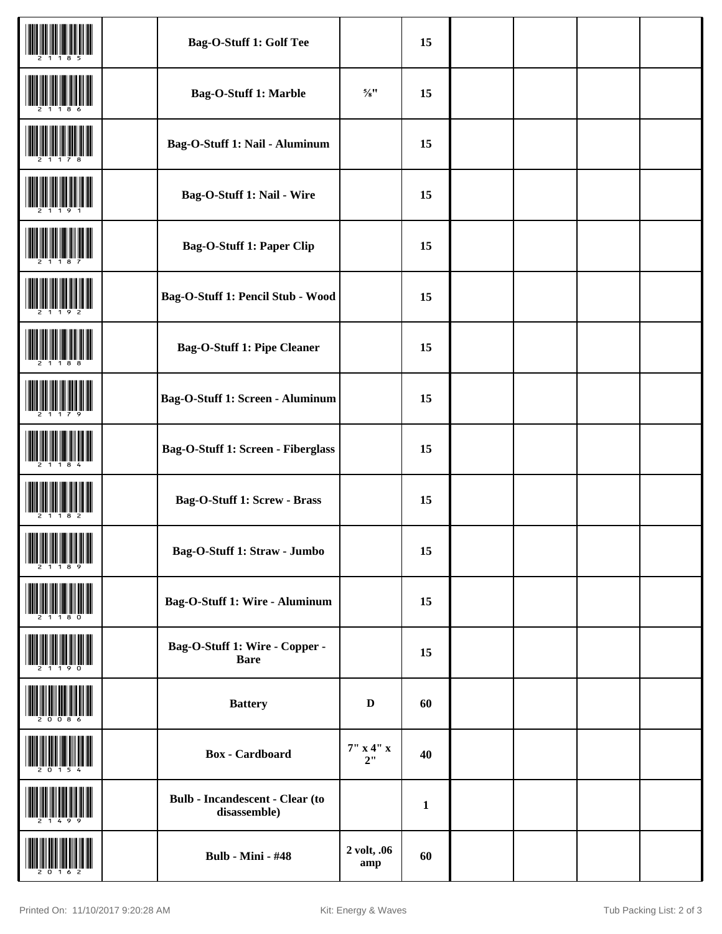|            | Bag-O-Stuff 1: Golf Tee                                |                    | 15           |  |  |
|------------|--------------------------------------------------------|--------------------|--------------|--|--|
|            | Bag-O-Stuff 1: Marble                                  | $5/8$              | 15           |  |  |
|            | Bag-O-Stuff 1: Nail - Aluminum                         |                    | 15           |  |  |
|            | Bag-O-Stuff 1: Nail - Wire                             |                    | 15           |  |  |
|            | <b>Bag-O-Stuff 1: Paper Clip</b>                       |                    | 15           |  |  |
|            | Bag-O-Stuff 1: Pencil Stub - Wood                      |                    | 15           |  |  |
|            | <b>Bag-O-Stuff 1: Pipe Cleaner</b>                     |                    | 15           |  |  |
|            | Bag-O-Stuff 1: Screen - Aluminum                       |                    | 15           |  |  |
|            | Bag-O-Stuff 1: Screen - Fiberglass                     |                    | 15           |  |  |
|            | Bag-O-Stuff 1: Screw - Brass                           |                    | 15           |  |  |
| III MARIJI | Bag-O-Stuff 1: Straw - Jumbo                           |                    | 15           |  |  |
|            | Bag-O-Stuff 1: Wire - Aluminum                         |                    | 15           |  |  |
|            | Bag-O-Stuff 1: Wire - Copper -<br><b>Bare</b>          |                    | 15           |  |  |
|            | <b>Battery</b>                                         | $\mathbf D$        | 60           |  |  |
|            | <b>Box</b> - Cardboard                                 | 7" x 4" x<br>2"    | 40           |  |  |
|            | <b>Bulb - Incandescent - Clear (to</b><br>disassemble) |                    | $\mathbf{1}$ |  |  |
|            | <b>Bulb - Mini - #48</b>                               | 2 volt, .06<br>amp | 60           |  |  |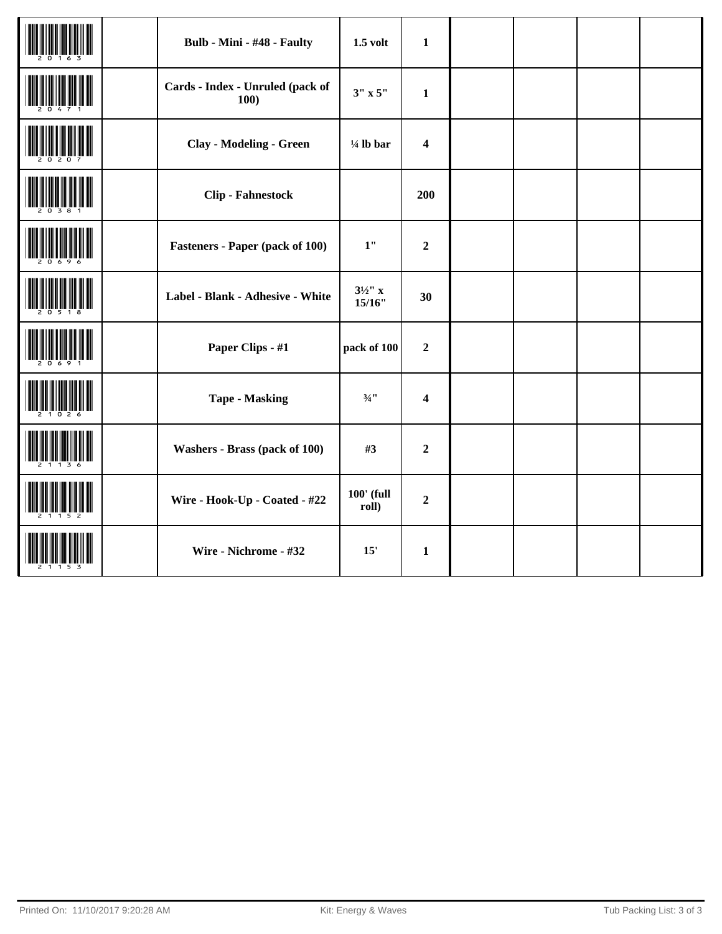|  | Bulb - Mini - #48 - Faulty               | $1.5$ volt                   | $\mathbf{1}$            |  |  |
|--|------------------------------------------|------------------------------|-------------------------|--|--|
|  | Cards - Index - Unruled (pack of<br>100) | $3'' \times 5''$             | $\mathbf{1}$            |  |  |
|  | <b>Clay - Modeling - Green</b>           | $\frac{1}{4}$ lb bar         | $\overline{\mathbf{4}}$ |  |  |
|  | <b>Clip - Fahnestock</b>                 |                              | 200                     |  |  |
|  | <b>Fasteners - Paper (pack of 100)</b>   | 1"                           | $\overline{2}$          |  |  |
|  | Label - Blank - Adhesive - White         | $3\frac{1}{2}$ " x<br>15/16" | 30                      |  |  |
|  | Paper Clips - #1                         | pack of 100                  | $\overline{2}$          |  |  |
|  | <b>Tape - Masking</b>                    | $3/4$ <sup>11</sup>          | $\overline{\mathbf{4}}$ |  |  |
|  | Washers - Brass (pack of 100)            | #3                           | $\boldsymbol{2}$        |  |  |
|  | Wire - Hook-Up - Coated - #22            | $100'$ (full<br>roll)        | $\overline{2}$          |  |  |
|  | Wire - Nichrome - #32                    | 15'                          | $\mathbf{1}$            |  |  |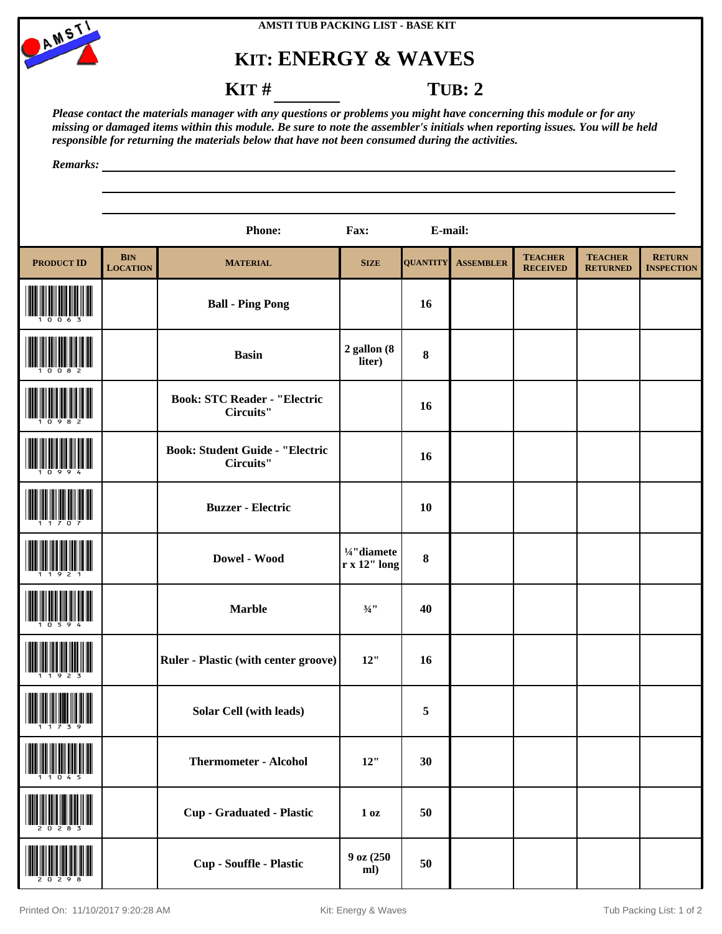

## **AMSTI TUB PACKING LIST - BASE KIT**

## **KIT: ENERGY & WAVES**

**KIT** # **TUB: 2** 

*Please contact the materials manager with any questions or problems you might have concerning this module or for any missing or damaged items within this module. Be sure to note the assembler's initials when reporting issues. You will be held responsible for returning the materials below that have not been consumed during the activities.*

*Remarks:*

|                              |                               | <b>Phone:</b>                                       | Fax:                                 | E-mail:         |                  |                                   |                                   |                                    |
|------------------------------|-------------------------------|-----------------------------------------------------|--------------------------------------|-----------------|------------------|-----------------------------------|-----------------------------------|------------------------------------|
| <b>PRODUCT ID</b>            | <b>BIN</b><br><b>LOCATION</b> | <b>MATERIAL</b>                                     | <b>SIZE</b>                          | <b>QUANTITY</b> | <b>ASSEMBLER</b> | <b>TEACHER</b><br><b>RECEIVED</b> | <b>TEACHER</b><br><b>RETURNED</b> | <b>RETURN</b><br><b>INSPECTION</b> |
|                              |                               | <b>Ball - Ping Pong</b>                             |                                      | 16              |                  |                                   |                                   |                                    |
|                              |                               | <b>Basin</b>                                        | $2$ gallon $(8$<br>liter)            | $\pmb{8}$       |                  |                                   |                                   |                                    |
|                              |                               | <b>Book: STC Reader - "Electric</b><br>Circuits"    |                                      | 16              |                  |                                   |                                   |                                    |
|                              |                               | <b>Book: Student Guide - "Electric</b><br>Circuits" |                                      | <b>16</b>       |                  |                                   |                                   |                                    |
|                              |                               | <b>Buzzer - Electric</b>                            |                                      | <b>10</b>       |                  |                                   |                                   |                                    |
|                              |                               | Dowel - Wood                                        | 1/4" diamete<br>$r \times 12$ " long | $\bf{8}$        |                  |                                   |                                   |                                    |
|                              |                               | <b>Marble</b>                                       | $\frac{3}{4}$ "                      | 40              |                  |                                   |                                   |                                    |
|                              |                               | <b>Ruler - Plastic (with center groove)</b>         | 12"                                  | 16              |                  |                                   |                                   |                                    |
| <u> III Mariji Mariji Ma</u> |                               | <b>Solar Cell (with leads)</b>                      |                                      | 5               |                  |                                   |                                   |                                    |
|                              |                               | <b>Thermometer - Alcohol</b>                        | 12"                                  | 30              |                  |                                   |                                   |                                    |
|                              |                               | <b>Cup - Graduated - Plastic</b>                    | 1 <sub>0</sub> z                     | 50              |                  |                                   |                                   |                                    |
|                              |                               | Cup - Souffle - Plastic                             | 9 oz (250<br>ml)                     | 50              |                  |                                   |                                   |                                    |